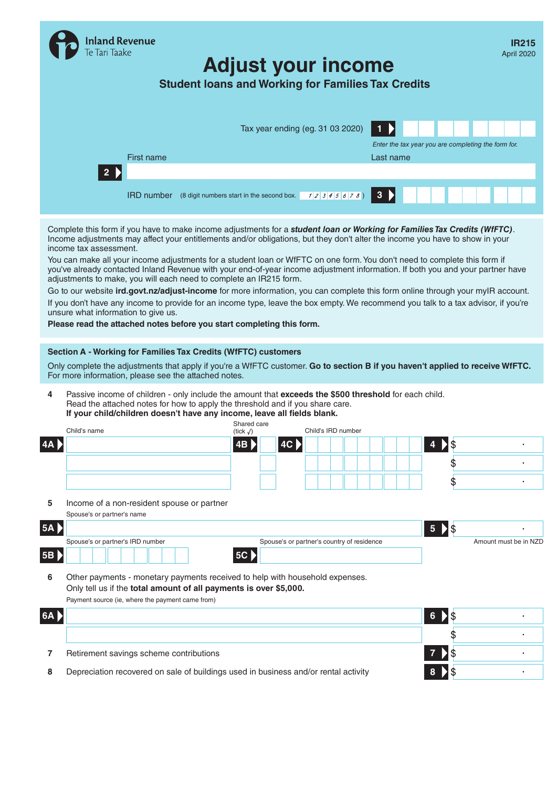|                                                                       | Inland Revenue<br>Te Tari Taake                                                                                                                                                                                                                                                                                                   | <b>Student loans and Working for Families Tax Credits</b>   |             | <b>Adjust your income</b>                  |              |                 |                             |                                                     | IR215<br>April 2020   |
|-----------------------------------------------------------------------|-----------------------------------------------------------------------------------------------------------------------------------------------------------------------------------------------------------------------------------------------------------------------------------------------------------------------------------|-------------------------------------------------------------|-------------|--------------------------------------------|--------------|-----------------|-----------------------------|-----------------------------------------------------|-----------------------|
|                                                                       | First name                                                                                                                                                                                                                                                                                                                        |                                                             |             | Tax year ending (eg. 31 03 2020)           | Last name    |                 |                             | Enter the tax year you are completing the form for. |                       |
| $\overline{2}$                                                        |                                                                                                                                                                                                                                                                                                                                   |                                                             |             |                                            |              |                 |                             |                                                     |                       |
|                                                                       |                                                                                                                                                                                                                                                                                                                                   | <b>IRD number</b> (8 digit numbers start in the second box. |             | 12345678)                                  | $\mathbf{3}$ |                 |                             |                                                     |                       |
| income tax assessment.                                                | Complete this form if you have to make income adjustments for a student loan or Working for Families Tax Credits (WfFTC).<br>Income adjustments may affect your entitlements and/or obligations, but they don't alter the income you have to show in your                                                                         |                                                             |             |                                            |              |                 |                             |                                                     |                       |
|                                                                       | You can make all your income adjustments for a student loan or WfFTC on one form. You don't need to complete this form if<br>you've already contacted Inland Revenue with your end-of-year income adjustment information. If both you and your partner have<br>adjustments to make, you will each need to complete an IR215 form. |                                                             |             |                                            |              |                 |                             |                                                     |                       |
|                                                                       | Go to our website ird.govt.nz/adjust-income for more information, you can complete this form online through your myIR account.                                                                                                                                                                                                    |                                                             |             |                                            |              |                 |                             |                                                     |                       |
|                                                                       | If you don't have any income to provide for an income type, leave the box empty. We recommend you talk to a tax advisor, if you're                                                                                                                                                                                                |                                                             |             |                                            |              |                 |                             |                                                     |                       |
|                                                                       | unsure what information to give us.                                                                                                                                                                                                                                                                                               |                                                             |             |                                            |              |                 |                             |                                                     |                       |
|                                                                       |                                                                                                                                                                                                                                                                                                                                   |                                                             |             |                                            |              |                 |                             |                                                     |                       |
| Please read the attached notes before you start completing this form. |                                                                                                                                                                                                                                                                                                                                   |                                                             |             |                                            |              |                 |                             |                                                     |                       |
|                                                                       | Section A - Working for Families Tax Credits (WfFTC) customers                                                                                                                                                                                                                                                                    |                                                             |             |                                            |              |                 |                             |                                                     |                       |
|                                                                       | Only complete the adjustments that apply if you're a WfFTC customer. Go to section B if you haven't applied to receive WfFTC.                                                                                                                                                                                                     |                                                             |             |                                            |              |                 |                             |                                                     |                       |
|                                                                       | For more information, please see the attached notes.                                                                                                                                                                                                                                                                              |                                                             |             |                                            |              |                 |                             |                                                     |                       |
| 4                                                                     | Passive income of children - only include the amount that exceeds the \$500 threshold for each child.<br>Read the attached notes for how to apply the threshold and if you share care.<br>If your child/children doesn't have any income, leave all fields blank.                                                                 |                                                             |             |                                            |              |                 |                             |                                                     |                       |
| Child's name                                                          |                                                                                                                                                                                                                                                                                                                                   |                                                             | Shared care | Child's IRD number                         |              |                 |                             |                                                     |                       |
| 4A                                                                    |                                                                                                                                                                                                                                                                                                                                   | (tick $\sqrt{}$ )<br>4B                                     |             | AC                                         |              |                 | \$                          |                                                     |                       |
|                                                                       |                                                                                                                                                                                                                                                                                                                                   |                                                             |             |                                            |              |                 |                             |                                                     |                       |
|                                                                       |                                                                                                                                                                                                                                                                                                                                   |                                                             |             |                                            |              |                 | \$                          |                                                     |                       |
|                                                                       |                                                                                                                                                                                                                                                                                                                                   |                                                             |             |                                            |              |                 | \$                          |                                                     |                       |
| 5                                                                     | Income of a non-resident spouse or partner                                                                                                                                                                                                                                                                                        |                                                             |             |                                            |              |                 |                             |                                                     |                       |
| Spouse's or partner's name                                            |                                                                                                                                                                                                                                                                                                                                   |                                                             |             |                                            |              |                 |                             |                                                     |                       |
| 5A                                                                    |                                                                                                                                                                                                                                                                                                                                   |                                                             |             |                                            |              | $5\phantom{.0}$ | $\boldsymbol{\hat{\theta}}$ |                                                     |                       |
|                                                                       | Spouse's or partner's IRD number                                                                                                                                                                                                                                                                                                  |                                                             |             | Spouse's or partner's country of residence |              |                 |                             |                                                     | Amount must be in NZD |
| 5B                                                                    |                                                                                                                                                                                                                                                                                                                                   | 5C                                                          |             |                                            |              |                 |                             |                                                     |                       |
|                                                                       |                                                                                                                                                                                                                                                                                                                                   |                                                             |             |                                            |              |                 |                             |                                                     |                       |
| 6                                                                     | Other payments - monetary payments received to help with household expenses.                                                                                                                                                                                                                                                      |                                                             |             |                                            |              |                 |                             |                                                     |                       |
|                                                                       | Only tell us if the total amount of all payments is over \$5,000.<br>Payment source (ie, where the payment came from)                                                                                                                                                                                                             |                                                             |             |                                            |              |                 |                             |                                                     |                       |
|                                                                       |                                                                                                                                                                                                                                                                                                                                   |                                                             |             |                                            |              |                 |                             |                                                     |                       |
| 6A >                                                                  |                                                                                                                                                                                                                                                                                                                                   |                                                             |             |                                            |              | 6               | \$                          |                                                     |                       |
|                                                                       |                                                                                                                                                                                                                                                                                                                                   |                                                             |             |                                            |              |                 |                             |                                                     |                       |
| 7                                                                     | Retirement savings scheme contributions                                                                                                                                                                                                                                                                                           |                                                             |             |                                            |              |                 |                             |                                                     |                       |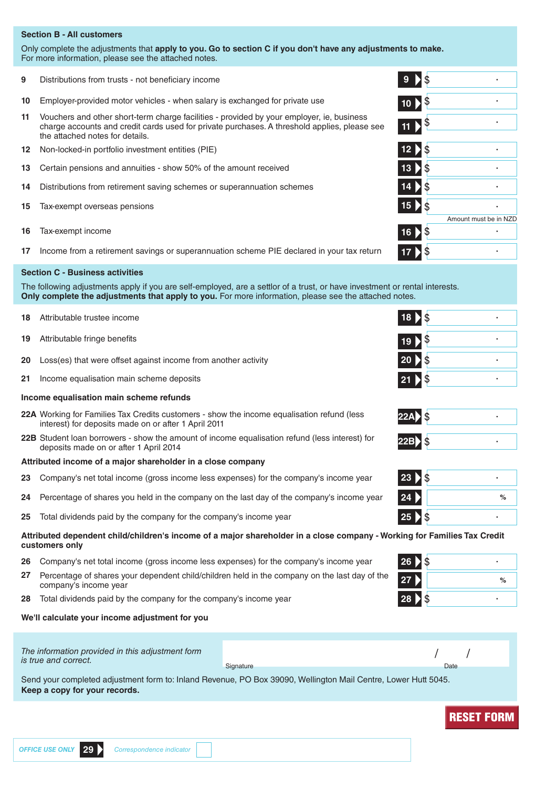# **Section B - All customers**

Only complete the adjustments that **apply to you. Go to section C if you don't have any adjustments to make.** For more information, please see the attached notes.

- **9** Distributions from trusts not beneficiary income **9**
- **10** Employer-provided motor vehicles when salary is exchanged for private use
- **11** Vouchers and other short-term charge facilities provided by your employer, ie, business charge accounts and credit cards used for private purchases. A threshold applies, please see the attached notes for details.
- **12** Non-locked-in portfolio investment entities (PIE) **12**
- **13** Certain pensions and annuities show 50% of the amount received **13**
- **14** Distributions from retirement saving schemes or superannuation schemes **14**
- **15** Tax-exempt overseas pensions **15**
- **16** Tax-exempt income **16**
- **17** Income from a retirement savings or superannuation scheme PIE declared in your tax return **17**

# **Section C - Business activities**

The following adjustments apply if you are self-employed, are a settlor of a trust, or have investment or rental interests. **Only complete the adjustments that apply to you.** For more information, please see the attached notes.

- **18** Attributable trustee income **18**
- **19** Attributable fringe benefits **19**
- **20** Loss(es) that were offset against income from another activity **20**
- **21** Income equalisation main scheme deposits **21**

## **Income equalisation main scheme refunds**

- **22A** Working for Families Tax Credits customers show the income equalisation refund (less interest) for deposits made on or after 1 April 2011
- **22B** Student loan borrowers show the amount of income equalisation refund (less interest) for deposits made on or after 1 April 2014 **22B**

# **Attributed income of a major shareholder in a close company**

- **23** Company's net total income (gross income less expenses) for the company's income year **23**
- **24** Percentage of shares you held in the company on the last day of the company's income year **24 %**
- **25** Total dividends paid by the company for the company's income year **25**

# **Attributed dependent child/children's income of a major shareholder in a close company - Working for Families Tax Credit customers only**

- **26** Company's net total income (gross income less expenses) for the company's income year **26**
- **27** Percentage of shares your dependent child/children held in the company on the last day of the company's income year **<sup>27</sup> %**
- **28** Total dividends paid by the company for the company's income year **28**

# **We'll calculate your income adjustment for you**

| The information provided in this adjustment form<br>is true and correct. | Signature                                                                                                      | Date |  |
|--------------------------------------------------------------------------|----------------------------------------------------------------------------------------------------------------|------|--|
|                                                                          | Send your completed adjustment form to: Inland Revenue, PO Box 39090, Wellington Mail Centre, Lower Hutt 5045. |      |  |

**Keep a copy for your records.**

|                 | $9 \mid $$                           |                       |
|-----------------|--------------------------------------|-----------------------|
|                 | $10 \overline{\smash{\big)}\,}$ \$   |                       |
|                 | 11                                   |                       |
|                 | $12 \overline{\smash{\big)}\, \$}$   |                       |
| $\overline{13}$ | <b>1\$</b>                           |                       |
|                 | $14 \overline{\smash{\big)}\,}$ \$   |                       |
|                 | $15$ $\overline{\smash{\big\}}\,$ \$ |                       |
|                 |                                      | Amount must be in NZD |
|                 | 16 > \$                              |                       |
| 1               | $\dot{\$}$                           |                       |

| $18$ $\sqrt{ }$                      |  |
|--------------------------------------|--|
| $19 \big)$ \$                        |  |
| $20$ $\overline{\smash{\big)}\,}$ \$ |  |
| 17\$<br>21                           |  |



| $\mathfrak{F}$<br>23     |   |
|--------------------------|---|
| 24                       | % |
| $\mathsf{\hat{S}}$<br>25 |   |

| 26 > \$   |               |
|-----------|---------------|
| 27        | $\frac{1}{2}$ |
| 28<br>1\$ |               |



**OFFICE USE ONLY 29** *Correspondence indicator* **RESET FORM Correspondence indicator RESET FORM**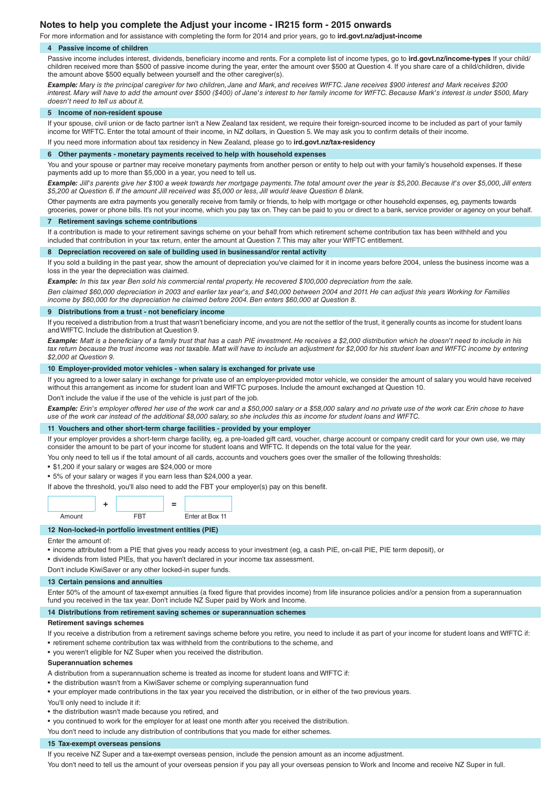# **Notes to help you complete the Adjust your income - IR215 form - 2015 onwards**

For more information and for assistance with completing the form for 2014 and prior years, go to **ird.govt.nz/adjust-income**

#### **4 Passive income of children**

Passive income includes interest, dividends, beneficiary income and rents. For a complete list of income types, go to **ird.govt.nz/income-types** If your child/ children received more than \$500 of passive income during the year, enter the amount over \$500 at Question 4. If you share care of a child/children, divide the amount above \$500 equally between yourself and the other caregiver(s).

*Example: Mary is the principal caregiver for two children, Jane and Mark, and receives WfFTC. Jane receives \$900 interest and Mark receives \$200 interest. Mary will have to add the amount over \$500 (\$400) of Jane's interest to her family income for WfFTC. Because Mark's interest is under \$500, Mary doesn't need to tell us about it.*

#### **5 Income of non-resident spouse**

If your spouse, civil union or de facto partner isn't a New Zealand tax resident, we require their foreign-sourced income to be included as part of your family income for WfFTC. Enter the total amount of their income, in NZ dollars, in Question 5. We may ask you to confirm details of their income. If you need more information about tax residency in New Zealand, please go to **ird.govt.nz/tax-residency**

### **6 Other payments - monetary payments received to help with household expenses**

You and your spouse or partner may receive monetary payments from another person or entity to help out with your family's household expenses. If these payments add up to more than \$5,000 in a year, you need to tell us.

*Example: Jill's parents give her \$100 a week towards her mortgage payments. The total amount over the year is \$5,200. Because it's over \$5,000, Jill enters \$5,200 at Question 6. If the amount Jill received was \$5,000 or less, Jill would leave Question 6 blank.*

Other payments are extra payments you generally receive from family or friends, to help with mortgage or other household expenses, eg, payments towards groceries, power or phone bills. It's not your income, which you pay tax on. They can be paid to you or direct to a bank, service provider or agency on your behalf.

### **7 Retirement savings scheme contributions**

If a contribution is made to your retirement savings scheme on your behalf from which retirement scheme contribution tax has been withheld and you included that contribution in your tax return, enter the amount at Question 7. This may alter your WfFTC entitlement.

## **8 Depreciation recovered on sale of building used in businessand/or rental activity**

If you sold a building in the past year, show the amount of depreciation you've claimed for it in income years before 2004, unless the business income was a loss in the year the depreciation was claimed.

*Example: In this tax year Ben sold his commercial rental property. He recovered \$100,000 depreciation from the sale.*

*Ben claimed \$60,000 depreciation in 2003 and earlier tax year's, and \$40,000 between 2004 and 2011. He can adjust this years Working for Families income by \$60,000 for the depreciation he claimed before 2004. Ben enters \$60,000 at Question 8.*

#### **9 Distributions from a trust - not beneficiary income**

If you received a distribution from a trust that wasn't beneficiary income, and you are not the settlor of the trust, it generally counts as income for student loans and WfFTC. Include the distribution at Question 9.

*Example: Matt is a beneficiary of a family trust that has a cash PIE investment. He receives a \$2,000 distribution which he doesn't need to include in his*  tax return because the trust income was not taxable. Matt will have to include an adjustment for \$2,000 for his student loan and WfFTC income by entering *\$2,000 at Question 9.*

#### **10 Employer-provided motor vehicles - when salary is exchanged for private use**

If you agreed to a lower salary in exchange for private use of an employer-provided motor vehicle, we consider the amount of salary you would have received without this arrangement as income for student loan and WfFTC purposes. Include the amount exchanged at Question 10.

Don't include the value if the use of the vehicle is just part of the job.

*Example: Erin's employer offered her use of the work car and a \$50,000 salary or a \$58,000 salary and no private use of the work car. Erin chose to have use of the work car instead of the additional \$8,000 salary, so she includes this as income for student loans and WfFTC.*

# **11 Vouchers and other short-term charge facilities - provided by your employer**

If your employer provides a short-term charge facility, eg, a pre-loaded gift card, voucher, charge account or company credit card for your own use, we may consider the amount to be part of your income for student loans and WfFTC. It depends on the total value for the year.

You only need to tell us if the total amount of all cards, accounts and vouchers goes over the smaller of the following thresholds:

• \$1,200 if your salary or wages are \$24,000 or more

• 5% of your salary or wages if you earn less than \$24,000 a year.

If above the threshold, you'll also need to add the FBT your employer(s) pay on this benefit.

|        |  | - |                 |  |
|--------|--|---|-----------------|--|
| Amount |  |   | Enter at Box 11 |  |

## **12 Non-locked-in portfolio investment entities (PIE)**

Enter the amount of:

• income attributed from a PIE that gives you ready access to your investment (eg, a cash PIE, on-call PIE, PIE term deposit), or

• dividends from listed PIEs, that you haven't declared in your income tax assessment.

Don't include KiwiSaver or any other locked-in super funds.

#### **13 Certain pensions and annuities**

Enter 50% of the amount of tax-exempt annuities (a fixed figure that provides income) from life insurance policies and/or a pension from a superannuation fund you received in the tax year. Don't include NZ Super paid by Work and Income.

## **14 Distributions from retirement saving schemes or superannuation schemes**

#### **Retirement savings schemes**

If you receive a distribution from a retirement savings scheme before you retire, you need to include it as part of your income for student loans and WfFTC if:

- retirement scheme contribution tax was withheld from the contributions to the scheme, and
- you weren't eligible for NZ Super when you received the distribution.

#### **Superannuation schemes**

A distribution from a superannuation scheme is treated as income for student loans and WfFTC if:

- the distribution wasn't from a KiwiSaver scheme or complying superannuation fund
- your employer made contributions in the tax year you received the distribution, or in either of the two previous years.
- You'll only need to include it if:
- the distribution wasn't made because you retired, and
- you continued to work for the employer for at least one month after you received the distribution.

You don't need to include any distribution of contributions that you made for either schemes.

#### **15 Tax-exempt overseas pensions**

If you receive NZ Super and a tax-exempt overseas pension, include the pension amount as an income adjustment.

You don't need to tell us the amount of your overseas pension if you pay all your overseas pension to Work and Income and receive NZ Super in full.